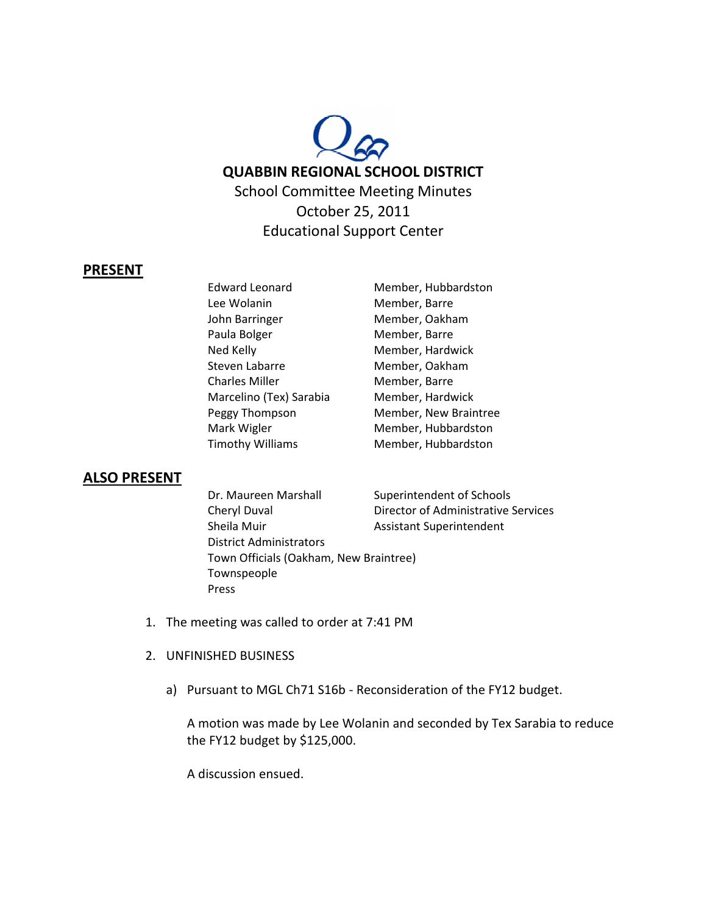

## **PRESENT**

Edward Leonard Member, Hubbardston Lee Wolanin Member, Barre John Barringer Member, Oakham Paula Bolger Member, Barre Ned Kelly **Member**, Hardwick Steven Labarre Member, Oakham Charles Miller Member, Barre Marcelino (Tex) Sarabia Member, Hardwick Mark Wigler Member, Hubbardston Timothy Williams Member, Hubbardston

Peggy Thompson Member, New Braintree

## **ALSO PRESENT**

Dr. Maureen Marshall Superintendent of Schools Cheryl Duval Director of Administrative Services Sheila Muir **Assistant Superintendent** District Administrators Town Officials (Oakham, New Braintree) Townspeople Press

- 1. The meeting was called to order at 7:41 PM
- 2. UNFINISHED BUSINESS
	- a) Pursuant to MGL Ch71 S16b Reconsideration of the FY12 budget.

A motion was made by Lee Wolanin and seconded by Tex Sarabia to reduce the FY12 budget by \$125,000.

A discussion ensued.